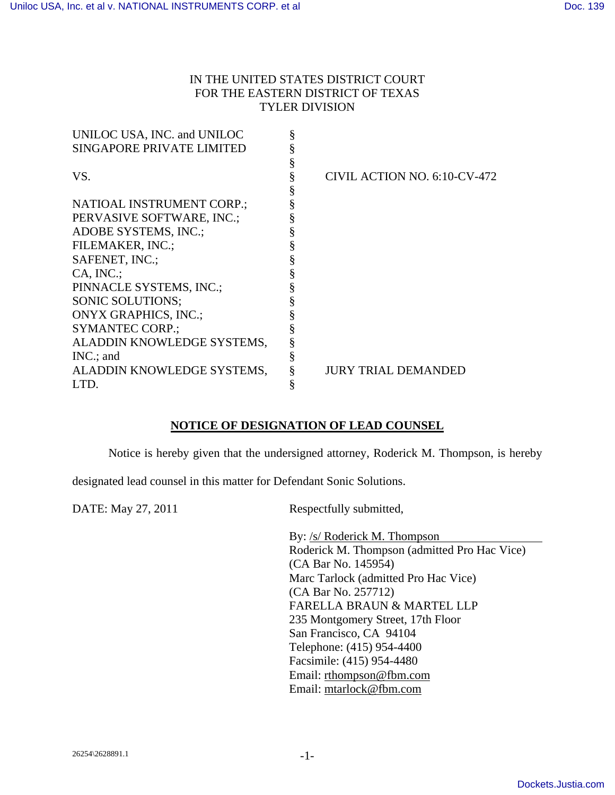## IN THE UNITED STATES DISTRICT COURT FOR THE EASTERN DISTRICT OF TEXAS TYLER DIVISION

| UNILOC USA, INC. and UNILOC      | § |                              |
|----------------------------------|---|------------------------------|
| <b>SINGAPORE PRIVATE LIMITED</b> |   |                              |
|                                  |   |                              |
| VS.                              | § | CIVIL ACTION NO. 6:10-CV-472 |
|                                  |   |                              |
| NATIOAL INSTRUMENT CORP.;        |   |                              |
| PERVASIVE SOFTWARE, INC.;        |   |                              |
| ADOBE SYSTEMS, INC.;             |   |                              |
| FILEMAKER, INC.;                 |   |                              |
| SAFENET, INC.;                   |   |                              |
| $CA, INC$ :                      |   |                              |
| PINNACLE SYSTEMS, INC.;          |   |                              |
| <b>SONIC SOLUTIONS:</b>          |   |                              |
| <b>ONYX GRAPHICS, INC.;</b>      |   |                              |
| <b>SYMANTEC CORP.:</b>           |   |                              |
| ALADDIN KNOWLEDGE SYSTEMS,       | § |                              |
| $INC$ ; and                      |   |                              |
| ALADDIN KNOWLEDGE SYSTEMS,       |   | JURY TRIAL DEMANDED          |
| LTD.                             | § |                              |

## **NOTICE OF DESIGNATION OF LEAD COUNSEL**

Notice is hereby given that the undersigned attorney, Roderick M. Thompson, is hereby

designated lead counsel in this matter for Defendant Sonic Solutions.

DATE: May 27, 2011 Respectfully submitted,

By: /s/ Roderick M. Thompson Roderick M. Thompson (admitted Pro Hac Vice) (CA Bar No. 145954) Marc Tarlock (admitted Pro Hac Vice) (CA Bar No. 257712) FARELLA BRAUN & MARTEL LLP 235 Montgomery Street, 17th Floor San Francisco, CA 94104 Telephone: (415) 954-4400 Facsimile: (415) 954-4480 Email: rthompson@fbm.com Email: mtarlock@fbm.com